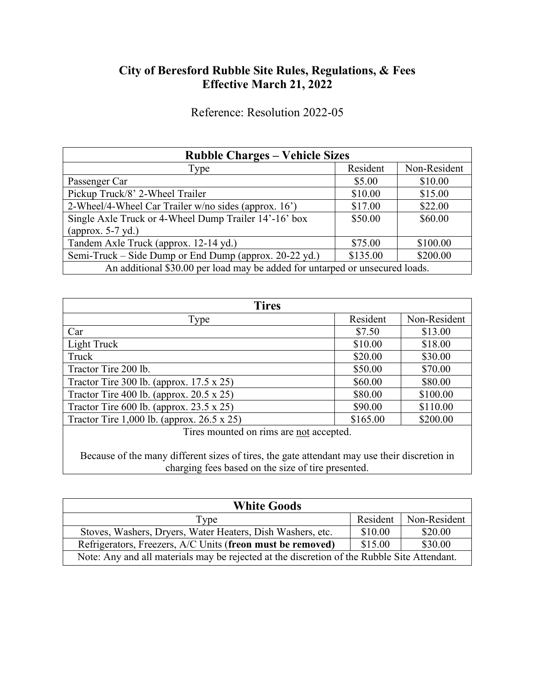# **City of Beresford Rubble Site Rules, Regulations, & Fees Effective March 21, 2022**

Reference: Resolution 2022-05

| <b>Rubble Charges – Vehicle Sizes</b>                                        |          |              |  |  |
|------------------------------------------------------------------------------|----------|--------------|--|--|
| Type                                                                         | Resident | Non-Resident |  |  |
| Passenger Car                                                                | \$5.00   | \$10.00      |  |  |
| Pickup Truck/8' 2-Wheel Trailer                                              | \$10.00  | \$15.00      |  |  |
| 2-Wheel/4-Wheel Car Trailer w/no sides (approx. 16')                         | \$17.00  | \$22.00      |  |  |
| Single Axle Truck or 4-Wheel Dump Trailer 14'-16' box                        | \$50.00  | \$60.00      |  |  |
| (approx. $5-7$ yd.)                                                          |          |              |  |  |
| Tandem Axle Truck (approx. 12-14 yd.)                                        | \$75.00  | \$100.00     |  |  |
| Semi-Truck – Side Dump or End Dump (approx. 20-22 yd.)                       | \$135.00 | \$200.00     |  |  |
| An additional \$30.00 per load may be added for untarped or unsecured loads. |          |              |  |  |

| <b>Tires</b>                                       |          |              |  |
|----------------------------------------------------|----------|--------------|--|
| Type                                               | Resident | Non-Resident |  |
| Car                                                | \$7.50   | \$13.00      |  |
| Light Truck                                        | \$10.00  | \$18.00      |  |
| Truck                                              | \$20.00  | \$30.00      |  |
| Tractor Tire 200 lb.                               | \$50.00  | \$70.00      |  |
| Tractor Tire 300 lb. (approx. $17.5 \times 25$ )   | \$60.00  | \$80.00      |  |
| Tractor Tire 400 lb. (approx. $20.5 \times 25$ )   | \$80.00  | \$100.00     |  |
| Tractor Tire $600$ lb. (approx. 23.5 x 25)         | \$90.00  | \$110.00     |  |
| Tractor Tire 1,000 lb. (approx. $26.5 \times 25$ ) | \$165.00 | \$200.00     |  |
| Tiros mounted on rime are not accounted            |          |              |  |

Tires mounted on rims are <u>not</u> accepted.

Because of the many different sizes of tires, the gate attendant may use their discretion in charging fees based on the size of tire presented.

| <b>White Goods</b>                                                                          |          |              |  |  |
|---------------------------------------------------------------------------------------------|----------|--------------|--|--|
| Type                                                                                        | Resident | Non-Resident |  |  |
| Stoves, Washers, Dryers, Water Heaters, Dish Washers, etc.                                  | \$10.00  | \$20.00      |  |  |
| Refrigerators, Freezers, A/C Units (freon must be removed)                                  | \$15.00  | \$30.00      |  |  |
| Note: Any and all materials may be rejected at the discretion of the Rubble Site Attendant. |          |              |  |  |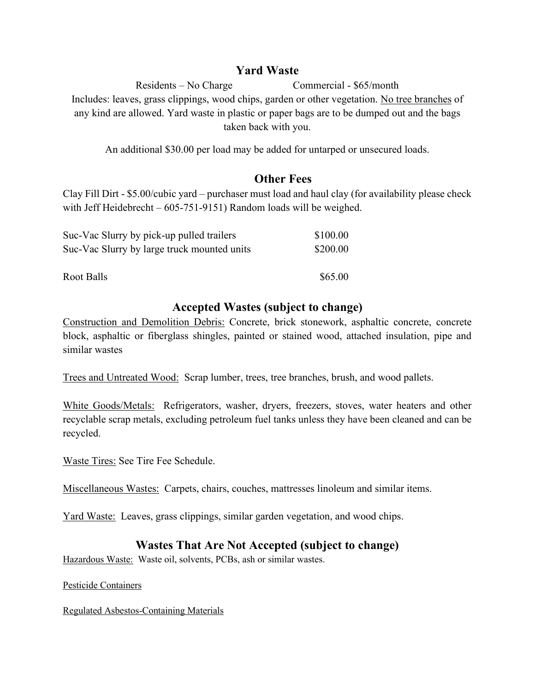#### **Yard Waste**

Residents – No Charge Commercial - \$65/month Includes: leaves, grass clippings, wood chips, garden or other vegetation. No tree branches of any kind are allowed. Yard waste in plastic or paper bags are to be dumped out and the bags taken back with you.

An additional \$30.00 per load may be added for untarped or unsecured loads.

## **Other Fees**

Clay Fill Dirt - \$5.00/cubic yard – purchaser must load and haul clay (for availability please check with Jeff Heidebrecht – 605-751-9151) Random loads will be weighed.

| Suc-Vac Slurry by pick-up pulled trailers   | \$100.00 |
|---------------------------------------------|----------|
| Suc-Vac Slurry by large truck mounted units | \$200.00 |
|                                             |          |
| Root Balls                                  | \$65.00  |

## **Accepted Wastes (subject to change)**

Construction and Demolition Debris: Concrete, brick stonework, asphaltic concrete, concrete block, asphaltic or fiberglass shingles, painted or stained wood, attached insulation, pipe and similar wastes

Trees and Untreated Wood: Scrap lumber, trees, tree branches, brush, and wood pallets.

White Goods/Metals: Refrigerators, washer, dryers, freezers, stoves, water heaters and other recyclable scrap metals, excluding petroleum fuel tanks unless they have been cleaned and can be recycled.

Waste Tires: See Tire Fee Schedule.

Miscellaneous Wastes: Carpets, chairs, couches, mattresses linoleum and similar items.

Yard Waste: Leaves, grass clippings, similar garden vegetation, and wood chips.

# **Wastes That Are Not Accepted (subject to change)**

Hazardous Waste: Waste oil, solvents, PCBs, ash or similar wastes.

Pesticide Containers

Regulated Asbestos-Containing Materials